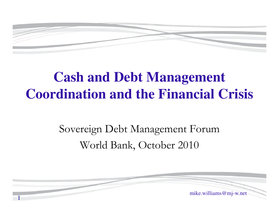

# **Cash and Debt Management Coordination and the Financial Crisis**

### Sovereign Debt Management ForumWorld Bank, October 2010

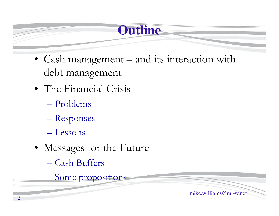# **Outline**

- Cash management and its interaction with debt management
- The Financial Crisis
	- Problems
	- Responses
	- Lessons
- Messages for the Future
	- Cash Buffers
	- Some propositions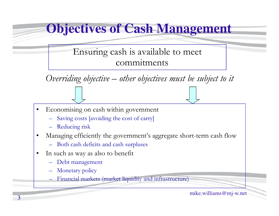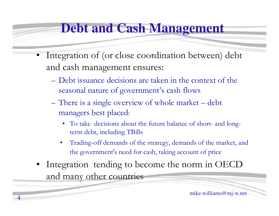#### **Debt and Cash Management**

- • Integration of (or close coordination between) debt and cash management ensures:
	- Debt issuance decisions are taken in the context of the seasonal nature of government's cash flows
	- There is a single overview of whole market debt managers best placed:
		- To take decisions about the future balance of short- and longterm debt, including TBills
		- • Trading-off demands of the strategy, demands of the market, and the government's need for cash, taking account of price
- • Integration tending to become the norm in OECD and many other countries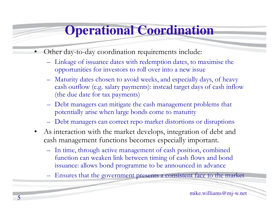# **Operational Coordination**

- • Other day-to-day coordination requirements include:
	- Linkage of issuance dates with redemption dates, to maximise the opportunities for investors to roll over into a new issue
	- Maturity dates chosen to avoid weeks, and especially days, of heavy<br>cash outflow (a.g. selem permeate), instead terms days of each inflat cash outflow (e.g. salary payments): instead target days of cash inflow (the due date for tax payments)
	- Debt managers can mitigate the cash management problems that potentially arise when large bonds come to maturity
	- Debt managers can correct repo market distortions or disruptions
- $\bullet$  As interaction with the market develops, integration of debt and cash management functions becomes especially important.
	- In time, through active management of cash position, combined function can weaken link between timing of cash flows and bond issuance: allows bond programme to be announced in advance
	- Ensures that the government presents a consistent face to the market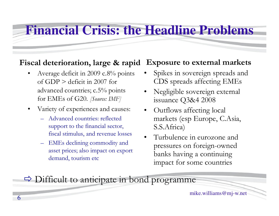#### **Financial Crisis: the Headline Problems**

#### **Fiscal deterioration, large & rapidExposure to external markets**

- • Average deficit in 2009 c.8% points of GDP  $>$  deficit in 2007 for advanced countries; c.5% points for EMEs of G20. *[Source: IMF]*
- $\bullet$  Variety of experiences and causes:
	- Advanced countries: reflected support to the financial sector, fiscal stimulus, and revenue losses
	- EMEs declining commodity and asset prices; also impact on export demand, tourism etc
- • Spikes in sovereign spreads and CDS spreads affecting EMEs
- • Negligible sovereign external issuance Q3&4 2008
- • Outflows affecting local markets (esp Europe, C.Asia, S.S.Africa)
- • Turbulence in eurozone and pressures on foreign-owned banks having a continuing impact for some countries

Difficult to anticipate in bond programme

mike.williams@mj-w.net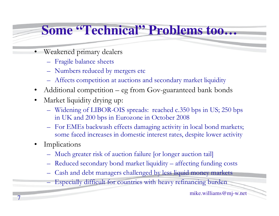### **Some "Technical" Problems too…**

- • Weakened primary dealers
	- Fragile balance sheets
	- Numbers reduced by mergers etc
	- Affects competition at auctions and secondary market liquidity
- •Additional competition – eg from Gov-guaranteed bank bonds
- $\bullet$  Market liquidity drying up:
	- Widening of LIBOR-OIS spreads: reached c.350 bps in US; 250 bps in UK and 200 bps in Eurozone in October 2008
	- For EMEs backwash effects damaging activity in local bond markets; some faced increases in domestic interest rates, despite lower activity
- • Implications
	- Much greater risk of auction failure [or longer auction tail]
	- Reduced secondary bond market liquidity affecting funding costs
	- Cash and debt managers challenged by less liquid money markets
	- Especially difficult for countries with heavy refinancing burden

mike.williams@mj-w.net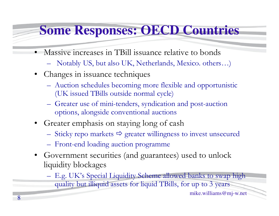#### **Some Responses: OECD Countries**

- • Massive increases in TBill issuance relative to bonds
	- Notably US, but also UK, Netherlands, Mexico. others…)
- Changes in issuance techniques
	- Auction schedules becoming more flexible and opportunistic<br>(*IV* issued TPills systems) and such a (UK issued TBills outside normal cycle)
	- Greater use of mini -tenders, syndication and post-auction options, alongside conventional auctions
- Greater emphasis on staying long of cash
	- Sticky repo markets  $\Rightarrow$  greater willingness to invest unsecured
	- Front-end loading auction programme
- $\bullet$  Government securities (and guarantees) used to unlock liquidity blockages

E.g. UK's Special Liquidity Scheme allowed banks to swap high quality but illiquid assets for liquid TBills, for up to 3 years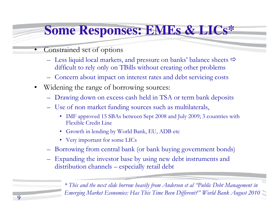# **Some Responses: EMEs & LICs\***

- • Constrained set of options
	- Less liquid local markets, and pressure on banks' balance sheets  $\Rightarrow$ difficult to rely only on TBills without creating other problems
	- Concern about impact on interest rates and debt servicing costs
- $\bullet$  Widening the range of borrowing sources:
	- Drawing down on excess cash held in TSA or term bank deposits
	- Use of non market funding sources such as multilaterals,
		- IMF approved 15 SBAs between Sept 2008 and July 2009; 3 countries with Elevible Credit Line Flexible Credit Line
		- Growth in lending by World Bank, EU, ADB etc
		- Very important for some LICs
	- Borrowing from central bank (or bank buying government bonds)
	- – Expanding the investor base by using new debt instruments and distribution channels – especially retail debt

Emerging Market Economies: Has This Time Been Different?" World Bank August 2010 *\* This and the next slide borrow heavily from Anderson et al "Public Debt Management in*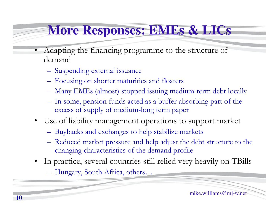# **More Responses: EMEs & LICs**

- $\bullet$  Adapting the financing programme to the structure of demand
	- Suspending external issuance
	- Focusing on shorter maturities and floaters
	- Many EMEs (almost) stopped issuing medium-term debt locally
	- In some, pension funds acted as a buffer absorbing part of the excess of supply of medium-long term paper
- Use of liability management operations to support market
	- Buybacks and exchanges to help stabilize markets
	- Reduced market pressure and help adjust the debt structure to the changing above to wide a structure of the demand two file changing characteristics of the demand profile
- • In practice, several countries still relied very heavily on TBills
	- Hungary, South Africa, others…

mike.williams@mj-w.net10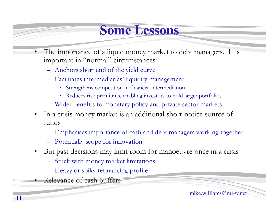#### **Some Lessons**

- • The importance of a liquid money market to debt managers. It is important in "normal" circumstances:
	- Anchors short end of the yield curve
	- Facilitates intermediaries' liquidity management
		- Strengthens competition in financial intermediation
		- Reduces risk premiums, enabling investors to hold larger portfolios
	- Wider benefits to monetary policy and private sector markets
- $\bullet$  In a crisis money market is an additional short-notice source of funds
	- Emphasises importance of cash and debt managers working together
	- Potentially scope for innovation
- $\bullet$  But past decisions may limit room for manoeuvre once in a crisis
	- Stuck with money market limitations
	- Heavy or spiky refinancing profile
- Relevance of cash buffers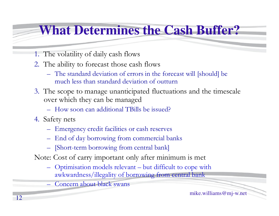# **What Determines the Cash Buffer?**

- 1. The volatility of daily cash flows
- 2. The ability to forecast those cash flows
	- The standard deviation of errors in the forecast will [should] be<br>much less than atopland deviation of outtum much less than standard deviation of outturn
- 3. The scope to manage unanticipated fluctuations and the timescale over which they can be managed
	- How soon can additional TBills be issued?
- 4. Safety nets
	- Emergency credit facilities or cash reserves
	- End of day borrowing from commercial banks
	- [Short-term borrowing from central bank]
- Note: Cost of carry important only after minimum is met
	- Optimisation models relevant but difficult to cope with awkwardness/illegality of borrowing from central bank
	- Concern about black swans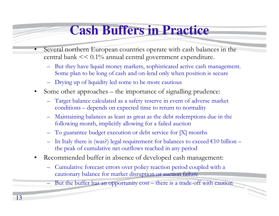# **Cash Buffers in Practice**

- • Several northern European countries operate with cash balances in the central bank << 0.1% annual central government expenditure.
	- But they have liquid money markets, sophisticated active cash management. Some plan to be long of cash and on-lend only when position is secure
	- –Drying up of liquidity led some to be more cautious
- • Some other approaches – the importance of signalling prudence:
	- Target balance calculated as a safety reserve in event of adverse market conditions – depends on expected time to return to normality
	- Maintaining balances as least as great as the debt redemptions due in the following month implicitly ellewing for a failed quotien following month, implicitly allowing for a failed auction
	- –To guarantee budget execution or debt service for [X] months
	- –In Italy there is (was?) legal requirement for balances to exceed  $\epsilon$ 10 billion – the peak of cumulative net outflows reached in any period
- $\bullet$  Recommended buffer in absence of developed cash management:
	- – Cumulative forecast errors over policy reaction period coupled with a cautionary balance for market disruption or auction failure
		- But the buffer has an opportunity cost there is a trade-off with caution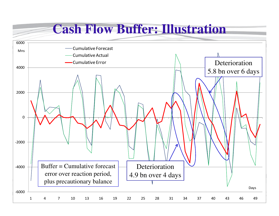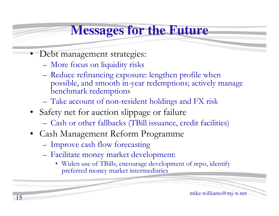# **Messages for the Future**

- Debt management strategies:
	- **Hart Committee Committee** More focus on liquidity risks
	- Reduce refinancing exposure: lengthen profile when<br>possible and smooth in year redemptions: actively m possible, and smooth in-year redemptions; actively manage benchmark redemptions
	- –Take account of non-resident holdings and FX risk
- Safety net for auction slippage or failure
	- **Hart Committee Committee** Cash or other fallbacks (TBill issuance, credit facilities)
- Cash Management Reform Programme
	- **Hart Committee Committee** Improve cash flow forecasting
	- **Hart Committee Committee** Facilitate money market development:
		- Widen use of TBills, encourage development of repo, identify<br>preferred money market intermediaries preferred money market intermediaries